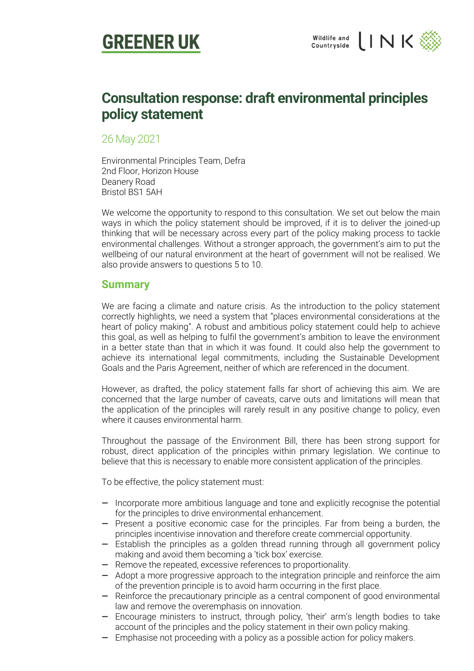



## **Consultation response: draft environmental principles policy statement**

26 May 2021

Environmental Principles Team, Defra 2nd Floor, Horizon House Deanery Road Bristol BS1 5AH

We welcome the opportunity to respond to this consultation. We set out below the main ways in which the policy statement should be improved, if it is to deliver the joined-up thinking that will be necessary across every part of the policy making process to tackle environmental challenges. Without a stronger approach, the government's aim to put the wellbeing of our natural environment at the heart of government will not be realised. We also provide answers to questions 5 to 10.

### **Summary**

We are facing a climate and nature crisis. As the introduction to the policy statement correctly highlights, we need a system that "places environmental considerations at the heart of policy making". A robust and ambitious policy statement could help to achieve this goal, as well as helping to fulfil the government's ambition to leave the environment in a better state than that in which it was found. It could also help the government to achieve its international legal commitments, including the Sustainable Development Goals and the Paris Agreement, neither of which are referenced in the document.

However, as drafted, the policy statement falls far short of achieving this aim. We are concerned that the large number of caveats, carve outs and limitations will mean that the application of the principles will rarely result in any positive change to policy, even where it causes environmental harm.

Throughout the passage of the Environment Bill, there has been strong support for robust, direct application of the principles within primary legislation. We continue to believe that this is necessary to enable more consistent application of the principles.

To be effective, the policy statement must:

- Incorporate more ambitious language and tone and explicitly recognise the potential for the principles to drive environmental enhancement.
- Present a positive economic case for the principles. Far from being a burden, the principles incentivise innovation and therefore create commercial opportunity.
- Establish the principles as a golden thread running through all government policy making and avoid them becoming a 'tick box' exercise.
- Remove the repeated, excessive references to proportionality.
- Adopt a more progressive approach to the integration principle and reinforce the aim of the prevention principle is to avoid harm occurring in the first place.
- Reinforce the precautionary principle as a central component of good environmental law and remove the overemphasis on innovation.
- Encourage ministers to instruct, through policy, 'their' arm's length bodies to take account of the principles and the policy statement in their own policy making.
- Emphasise not proceeding with a policy as a possible action for policy makers.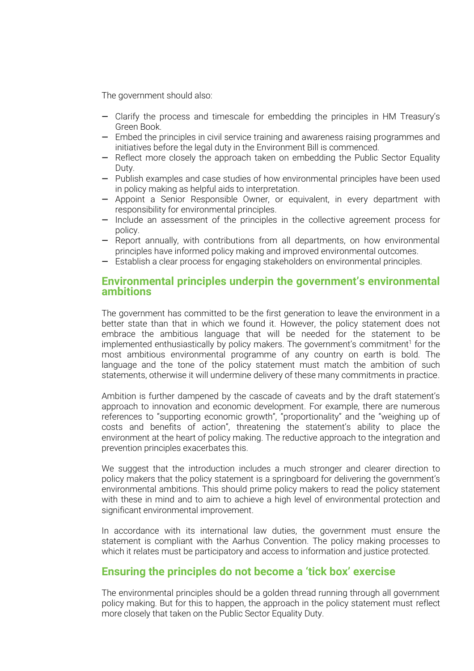The government should also:

- Clarify the process and timescale for embedding the principles in HM Treasury's Green Book.
- Embed the principles in civil service training and awareness raising programmes and initiatives before the legal duty in the Environment Bill is commenced.
- Reflect more closely the approach taken on embedding the Public Sector Equality Duty.
- Publish examples and case studies of how environmental principles have been used in policy making as helpful aids to interpretation.
- Appoint a Senior Responsible Owner, or equivalent, in every department with responsibility for environmental principles.
- Include an assessment of the principles in the collective agreement process for policy.
- Report annually, with contributions from all departments, on how environmental principles have informed policy making and improved environmental outcomes.
- Establish a clear process for engaging stakeholders on environmental principles.

## **Environmental principles underpin the government's environmental ambitions**

The government has committed to be the first generation to leave the environment in a better state than that in which we found it. However, the policy statement does not embrace the ambitious language that will be needed for the statement to be implemented enthusiastically by policy makers. The government's commitment<sup>1</sup> for the most ambitious environmental programme of any country on earth is bold. The language and the tone of the policy statement must match the ambition of such statements, otherwise it will undermine delivery of these many commitments in practice.

Ambition is further dampened by the cascade of caveats and by the draft statement's approach to innovation and economic development. For example, there are numerous references to "supporting economic growth", "proportionality" and the "weighing up of costs and benefits of action", threatening the statement's ability to place the environment at the heart of policy making. The reductive approach to the integration and prevention principles exacerbates this.

We suggest that the introduction includes a much stronger and clearer direction to policy makers that the policy statement is a springboard for delivering the government's environmental ambitions. This should prime policy makers to read the policy statement with these in mind and to aim to achieve a high level of environmental protection and significant environmental improvement.

In accordance with its international law duties, the government must ensure the statement is compliant with the Aarhus Convention. The policy making processes to which it relates must be participatory and access to information and justice protected.

## **Ensuring the principles do not become a 'tick box' exercise**

The environmental principles should be a golden thread running through all government policy making. But for this to happen, the approach in the policy statement must reflect more closely that taken on the Public Sector Equality Duty.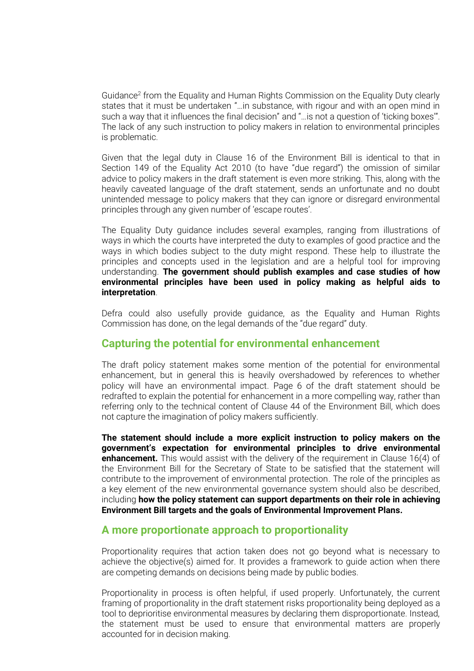Guidance<sup>2</sup> from the Equality and Human Rights Commission on the Equality Duty clearly states that it must be undertaken "…in substance, with rigour and with an open mind in such a way that it influences the final decision" and "…is not a question of 'ticking boxes'". The lack of any such instruction to policy makers in relation to environmental principles is problematic.

Given that the legal duty in Clause 16 of the Environment Bill is identical to that in Section 149 of the Equality Act 2010 (to have "due regard") the omission of similar advice to policy makers in the draft statement is even more striking. This, along with the heavily caveated language of the draft statement, sends an unfortunate and no doubt unintended message to policy makers that they can ignore or disregard environmental principles through any given number of 'escape routes'.

The Equality Duty guidance includes several examples, ranging from illustrations of ways in which the courts have interpreted the duty to examples of good practice and the ways in which bodies subject to the duty might respond. These help to illustrate the principles and concepts used in the legislation and are a helpful tool for improving understanding. **The government should publish examples and case studies of how environmental principles have been used in policy making as helpful aids to interpretation**.

Defra could also usefully provide guidance, as the Equality and Human Rights Commission has done, on the legal demands of the "due regard" duty.

## **Capturing the potential for environmental enhancement**

The draft policy statement makes some mention of the potential for environmental enhancement, but in general this is heavily overshadowed by references to whether policy will have an environmental impact. Page 6 of the draft statement should be redrafted to explain the potential for enhancement in a more compelling way, rather than referring only to the technical content of Clause 44 of the Environment Bill, which does not capture the imagination of policy makers sufficiently.

**The statement should include a more explicit instruction to policy makers on the government's expectation for environmental principles to drive environmental enhancement.** This would assist with the delivery of the requirement in Clause 16(4) of the Environment Bill for the Secretary of State to be satisfied that the statement will contribute to the improvement of environmental protection. The role of the principles as a key element of the new environmental governance system should also be described, including **how the policy statement can support departments on their role in achieving Environment Bill targets and the goals of Environmental Improvement Plans.**

#### **A more proportionate approach to proportionality**

Proportionality requires that action taken does not go beyond what is necessary to achieve the objective(s) aimed for. It provides a framework to guide action when there are competing demands on decisions being made by public bodies.

Proportionality in process is often helpful, if used properly. Unfortunately, the current framing of proportionality in the draft statement risks proportionality being deployed as a tool to deprioritise environmental measures by declaring them disproportionate. Instead, the statement must be used to ensure that environmental matters are properly accounted for in decision making.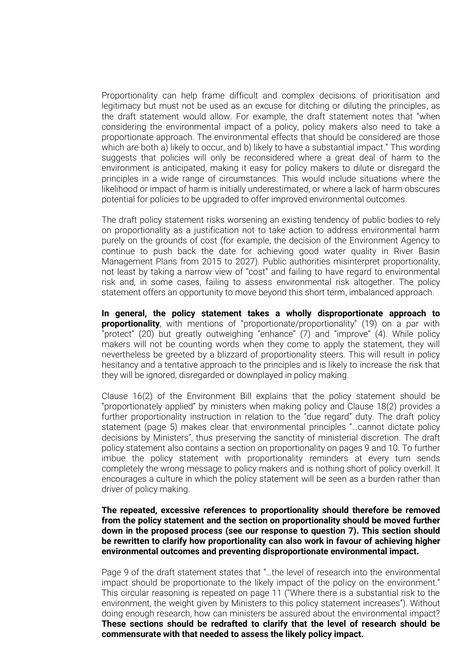Proportionality can help frame difficult and complex decisions of prioritisation and legitimacy but must not be used as an excuse for ditching or diluting the principles, as the draft statement would allow. For example, the draft statement notes that "when considering the environmental impact of a policy, policy makers also need to take a proportionate approach. The environmental effects that should be considered are those which are both a) likely to occur, and b) likely to have a substantial impact." This wording suggests that policies will only be reconsidered where a great deal of harm to the environment is anticipated, making it easy for policy makers to dilute or disregard the principles in a wide range of circumstances. This would include situations where the likelihood or impact of harm is initially underestimated, or where a lack of harm obscures potential for policies to be upgraded to offer improved environmental outcomes.

The draft policy statement risks worsening an existing tendency of public bodies to rely on proportionality as a justification not to take action to address environmental harm purely on the grounds of cost (for example, the decision of the Environment Agency to continue to push back the date for achieving good water quality in River Basin Management Plans from 2015 to 2027). Public authorities misinterpret proportionality, not least by taking a narrow view of "cost" and failing to have regard to environmental risk and, in some cases, failing to assess environmental risk altogether. The policy statement offers an opportunity to move beyond this short term, imbalanced approach.

**In general, the policy statement takes a wholly disproportionate approach to proportionality**, with mentions of "proportionate/proportionality" (19) on a par with "protect" (20) but greatly outweighing "enhance" (7) and "improve" (4). While policy makers will not be counting words when they come to apply the statement, they will nevertheless be greeted by a blizzard of proportionality steers. This will result in policy hesitancy and a tentative approach to the principles and is likely to increase the risk that they will be ignored, disregarded or downplayed in policy making.

Clause 16(2) of the Environment Bill explains that the policy statement should be "proportionately applied" by ministers when making policy and Clause 18(2) provides a further proportionality instruction in relation to the "due regard" duty. The draft policy statement (page 5) makes clear that environmental principles "…cannot dictate policy decisions by Ministers", thus preserving the sanctity of ministerial discretion. The draft policy statement also contains a section on proportionality on pages 9 and 10. To further imbue the policy statement with proportionality reminders at every turn sends completely the wrong message to policy makers and is nothing short of policy overkill. It encourages a culture in which the policy statement will be seen as a burden rather than driver of policy making.

#### **The repeated, excessive references to proportionality should therefore be removed from the policy statement and the section on proportionality should be moved further down in the proposed process (see our response to question 7). This section should be rewritten to clarify how proportionality can also work in favour of achieving higher environmental outcomes and preventing disproportionate environmental impact.**

Page 9 of the draft statement states that "…the level of research into the environmental impact should be proportionate to the likely impact of the policy on the environment." This circular reasoning is repeated on page 11 ("Where there is a substantial risk to the environment, the weight given by Ministers to this policy statement increases"). Without doing enough research, how can ministers be assured about the environmental impact? **These sections should be redrafted to clarify that the level of research should be commensurate with that needed to assess the likely policy impact.**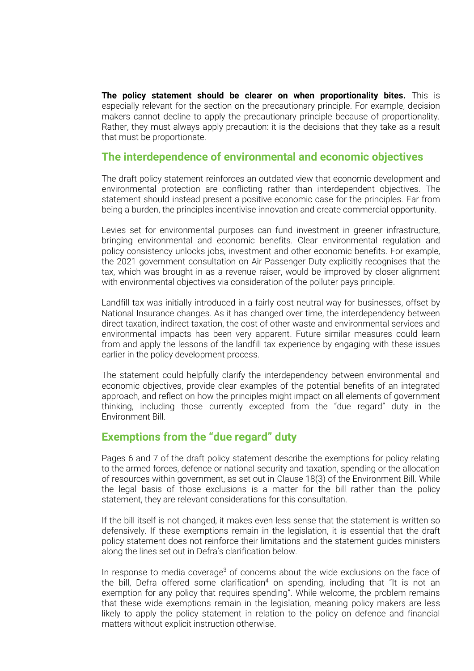**The policy statement should be clearer on when proportionality bites.** This is especially relevant for the section on the precautionary principle. For example, decision makers cannot decline to apply the precautionary principle because of proportionality. Rather, they must always apply precaution: it is the decisions that they take as a result that must be proportionate.

## **The interdependence of environmental and economic objectives**

The draft policy statement reinforces an outdated view that economic development and environmental protection are conflicting rather than interdependent objectives. The statement should instead present a positive economic case for the principles. Far from being a burden, the principles incentivise innovation and create commercial opportunity.

Levies set for environmental purposes can fund investment in greener infrastructure, bringing environmental and economic benefits. Clear environmental regulation and policy consistency unlocks jobs, investment and other economic benefits. For example, the 2021 government consultation on Air Passenger Duty explicitly recognises that the tax, which was brought in as a revenue raiser, would be improved by closer alignment with environmental objectives via consideration of the polluter pays principle.

Landfill tax was initially introduced in a fairly cost neutral way for businesses, offset by National Insurance changes. As it has changed over time, the interdependency between direct taxation, indirect taxation, the cost of other waste and environmental services and environmental impacts has been very apparent. Future similar measures could learn from and apply the lessons of the landfill tax experience by engaging with these issues earlier in the policy development process.

The statement could helpfully clarify the interdependency between environmental and economic objectives, provide clear examples of the potential benefits of an integrated approach, and reflect on how the principles might impact on all elements of government thinking, including those currently excepted from the "due regard" duty in the Environment Bill.

## **Exemptions from the "due regard" duty**

Pages 6 and 7 of the draft policy statement describe the exemptions for policy relating to the armed forces, defence or national security and taxation, spending or the allocation of resources within government, as set out in Clause 18(3) of the Environment Bill. While the legal basis of those exclusions is a matter for the bill rather than the policy statement, they are relevant considerations for this consultation.

If the bill itself is not changed, it makes even less sense that the statement is written so defensively. If these exemptions remain in the legislation, it is essential that the draft policy statement does not reinforce their limitations and the statement guides ministers along the lines set out in Defra's clarification below.

In response to media coverage<sup>3</sup> of concerns about the wide exclusions on the face of the bill, Defra offered some clarification<sup>4</sup> on spending, including that "It is not an exemption for any policy that requires spending". While welcome, the problem remains that these wide exemptions remain in the legislation, meaning policy makers are less likely to apply the policy statement in relation to the policy on defence and financial matters without explicit instruction otherwise.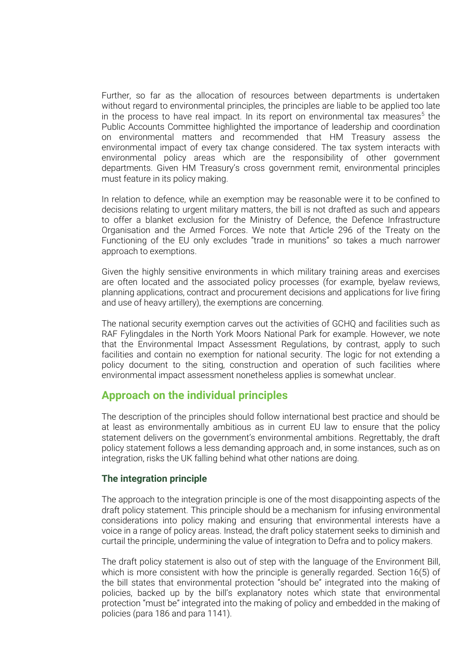Further, so far as the allocation of resources between departments is undertaken without regard to environmental principles, the principles are liable to be applied too late in the process to have real impact. In its report on environmental tax measures<sup>5</sup> the Public Accounts Committee highlighted the importance of leadership and coordination on environmental matters and recommended that HM Treasury assess the environmental impact of every tax change considered. The tax system interacts with environmental policy areas which are the responsibility of other government departments. Given HM Treasury's cross government remit, environmental principles must feature in its policy making.

In relation to defence, while an exemption may be reasonable were it to be confined to decisions relating to urgent military matters, the bill is not drafted as such and appears to offer a blanket exclusion for the Ministry of Defence, the Defence Infrastructure Organisation and the Armed Forces. We note that Article 296 of the Treaty on the Functioning of the EU only excludes "trade in munitions" so takes a much narrower approach to exemptions.

Given the highly sensitive environments in which military training areas and exercises are often located and the associated policy processes (for example, byelaw reviews, planning applications, contract and procurement decisions and applications for live firing and use of heavy artillery), the exemptions are concerning.

The national security exemption carves out the activities of GCHQ and facilities such as RAF Fylingdales in the North York Moors National Park for example. However, we note that the Environmental Impact Assessment Regulations, by contrast, apply to such facilities and contain no exemption for national security. The logic for not extending a policy document to the siting, construction and operation of such facilities where environmental impact assessment nonetheless applies is somewhat unclear.

## **Approach on the individual principles**

The description of the principles should follow international best practice and should be at least as environmentally ambitious as in current EU law to ensure that the policy statement delivers on the government's environmental ambitions. Regrettably, the draft policy statement follows a less demanding approach and, in some instances, such as on integration, risks the UK falling behind what other nations are doing.

#### **The integration principle**

The approach to the integration principle is one of the most disappointing aspects of the draft policy statement. This principle should be a mechanism for infusing environmental considerations into policy making and ensuring that environmental interests have a voice in a range of policy areas. Instead, the draft policy statement seeks to diminish and curtail the principle, undermining the value of integration to Defra and to policy makers.

The draft policy statement is also out of step with the language of the Environment Bill, which is more consistent with how the principle is generally regarded. Section 16(5) of the bill states that environmental protection "should be" integrated into the making of policies, backed up by the bill's explanatory notes which state that environmental protection "must be" integrated into the making of policy and embedded in the making of policies (para 186 and para 1141).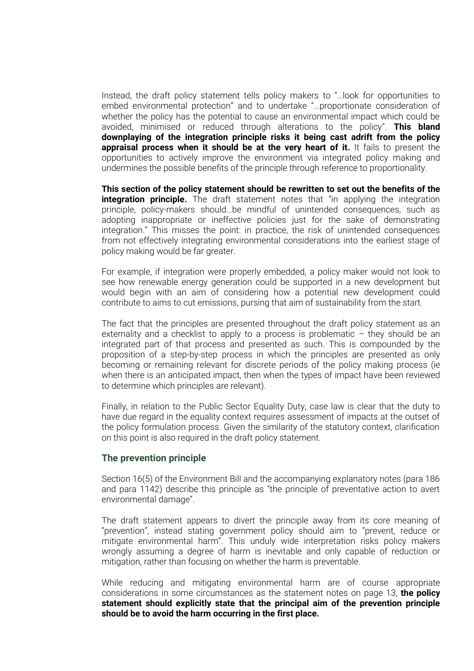Instead, the draft policy statement tells policy makers to "…look for opportunities to embed environmental protection" and to undertake "…proportionate consideration of whether the policy has the potential to cause an environmental impact which could be avoided, minimised or reduced through alterations to the policy". **This bland downplaying of the integration principle risks it being cast adrift from the policy appraisal process when it should be at the very heart of it.** It fails to present the opportunities to actively improve the environment via integrated policy making and undermines the possible benefits of the principle through reference to proportionality.

**This section of the policy statement should be rewritten to set out the benefits of the integration principle.** The draft statement notes that "in applying the integration principle, policy-makers should…be mindful of unintended consequences, such as adopting inappropriate or ineffective policies just for the sake of demonstrating integration." This misses the point: in practice, the risk of unintended consequences from not effectively integrating environmental considerations into the earliest stage of policy making would be far greater.

For example, if integration were properly embedded, a policy maker would not look to see how renewable energy generation could be supported in a new development but would begin with an aim of considering how a potential new development could contribute to aims to cut emissions, pursing that aim of sustainability from the start.

The fact that the principles are presented throughout the draft policy statement as an externality and a checklist to apply to a process is problematic  $-$  they should be an integrated part of that process and presented as such. This is compounded by the proposition of a step-by-step process in which the principles are presented as only becoming or remaining relevant for discrete periods of the policy making process (ie when there is an anticipated impact, then when the types of impact have been reviewed to determine which principles are relevant).

Finally, in relation to the Public Sector Equality Duty, case law is clear that the duty to have due regard in the equality context requires assessment of impacts at the outset of the policy formulation process. Given the similarity of the statutory context, clarification on this point is also required in the draft policy statement.

#### **The prevention principle**

Section 16(5) of the Environment Bill and the accompanying explanatory notes (para 186 and para 1142) describe this principle as "the principle of preventative action to avert environmental damage".

The draft statement appears to divert the principle away from its core meaning of "prevention", instead stating government policy should aim to "prevent, reduce or mitigate environmental harm". This unduly wide interpretation risks policy makers wrongly assuming a degree of harm is inevitable and only capable of reduction or mitigation, rather than focusing on whether the harm is preventable.

While reducing and mitigating environmental harm are of course appropriate considerations in some circumstances as the statement notes on page 13, **the policy statement should explicitly state that the principal aim of the prevention principle should be to avoid the harm occurring in the first place.**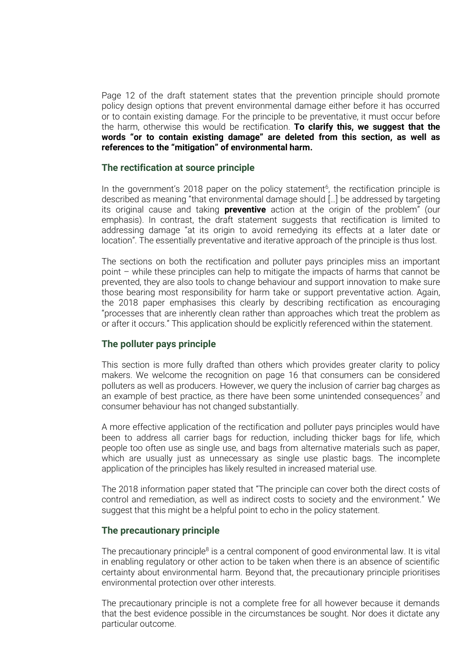Page 12 of the draft statement states that the prevention principle should promote policy design options that prevent environmental damage either before it has occurred or to contain existing damage. For the principle to be preventative, it must occur before the harm, otherwise this would be rectification. **To clarify this, we suggest that the words "or to contain existing damage" are deleted from this section, as well as references to the "mitigation" of environmental harm.**

#### **The rectification at source principle**

In the government's 2018 paper on the policy statement<sup>6</sup>, the rectification principle is described as meaning "that environmental damage should […] be addressed by targeting its original cause and taking **preventive** action at the origin of the problem" (our emphasis). In contrast, the draft statement suggests that rectification is limited to addressing damage "at its origin to avoid remedying its effects at a later date or location". The essentially preventative and iterative approach of the principle is thus lost.

The sections on both the rectification and polluter pays principles miss an important point – while these principles can help to mitigate the impacts of harms that cannot be prevented, they are also tools to change behaviour and support innovation to make sure those bearing most responsibility for harm take or support preventative action. Again, the 2018 paper emphasises this clearly by describing rectification as encouraging "processes that are inherently clean rather than approaches which treat the problem as or after it occurs." This application should be explicitly referenced within the statement.

#### **The polluter pays principle**

This section is more fully drafted than others which provides greater clarity to policy makers. We welcome the recognition on page 16 that consumers can be considered polluters as well as producers. However, we query the inclusion of carrier bag charges as an example of best practice, as there have been some unintended consequences<sup>7</sup> and consumer behaviour has not changed substantially.

A more effective application of the rectification and polluter pays principles would have been to address all carrier bags for reduction, including thicker bags for life, which people too often use as single use, and bags from alternative materials such as paper, which are usually just as unnecessary as single use plastic bags. The incomplete application of the principles has likely resulted in increased material use.

The 2018 information paper stated that "The principle can cover both the direct costs of control and remediation, as well as indirect costs to society and the environment." We suggest that this might be a helpful point to echo in the policy statement.

#### **The precautionary principle**

The precautionary principle<sup>8</sup> is a central component of good environmental law. It is vital in enabling regulatory or other action to be taken when there is an absence of scientific certainty about environmental harm. Beyond that, the precautionary principle prioritises environmental protection over other interests.

The precautionary principle is not a complete free for all however because it demands that the best evidence possible in the circumstances be sought. Nor does it dictate any particular outcome.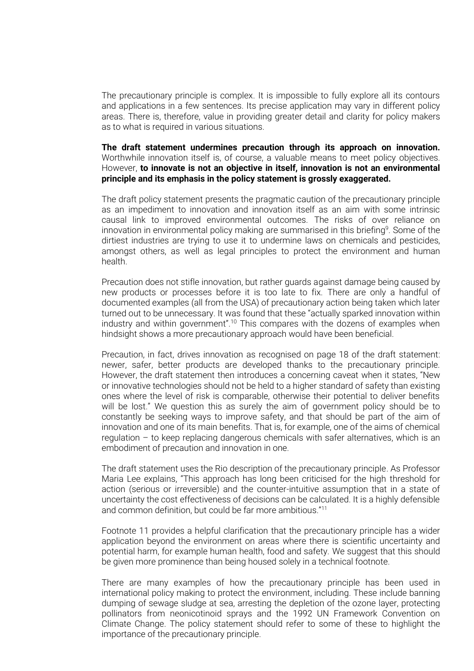The precautionary principle is complex. It is impossible to fully explore all its contours and applications in a few sentences. Its precise application may vary in different policy areas. There is, therefore, value in providing greater detail and clarity for policy makers as to what is required in various situations.

**The draft statement undermines precaution through its approach on innovation.** Worthwhile innovation itself is, of course, a valuable means to meet policy objectives. However, **to innovate is not an objective in itself, innovation is not an environmental principle and its emphasis in the policy statement is grossly exaggerated.**

The draft policy statement presents the pragmatic caution of the precautionary principle as an impediment to innovation and innovation itself as an aim with some intrinsic causal link to improved environmental outcomes. The risks of over reliance on innovation in environmental policy making are summarised in this briefing<sup>9</sup>. Some of the dirtiest industries are trying to use it to undermine laws on chemicals and pesticides, amongst others, as well as legal principles to protect the environment and human health.

Precaution does not stifle innovation, but rather guards against damage being caused by new products or processes before it is too late to fix. There are only a handful of documented examples (all from the USA) of precautionary action being taken which later turned out to be unnecessary. It was found that these "actually sparked innovation within industry and within government".<sup>10</sup> This compares with the dozens of examples when hindsight shows a more precautionary approach would have been beneficial.

Precaution, in fact, drives innovation as recognised on page 18 of the draft statement: newer, safer, better products are developed thanks to the precautionary principle. However, the draft statement then introduces a concerning caveat when it states, "New or innovative technologies should not be held to a higher standard of safety than existing ones where the level of risk is comparable, otherwise their potential to deliver benefits will be lost." We question this as surely the aim of government policy should be to constantly be seeking ways to improve safety, and that should be part of the aim of innovation and one of its main benefits. That is, for example, one of the aims of chemical regulation – to keep replacing dangerous chemicals with safer alternatives, which is an embodiment of precaution and innovation in one.

The draft statement uses the Rio description of the precautionary principle. As Professor Maria Lee explains, "This approach has long been criticised for the high threshold for action (serious or irreversible) and the counter-intuitive assumption that in a state of uncertainty the cost effectiveness of decisions can be calculated. It is a highly defensible and common definition, but could be far more ambitious."<sup>11</sup>

Footnote 11 provides a helpful clarification that the precautionary principle has a wider application beyond the environment on areas where there is scientific uncertainty and potential harm, for example human health, food and safety. We suggest that this should be given more prominence than being housed solely in a technical footnote.

There are many examples of how the precautionary principle has been used in international policy making to protect the environment, including. These include banning dumping of sewage sludge at sea, arresting the depletion of the ozone layer, protecting pollinators from neonicotinoid sprays and the 1992 UN Framework Convention on Climate Change. The policy statement should refer to some of these to highlight the importance of the precautionary principle.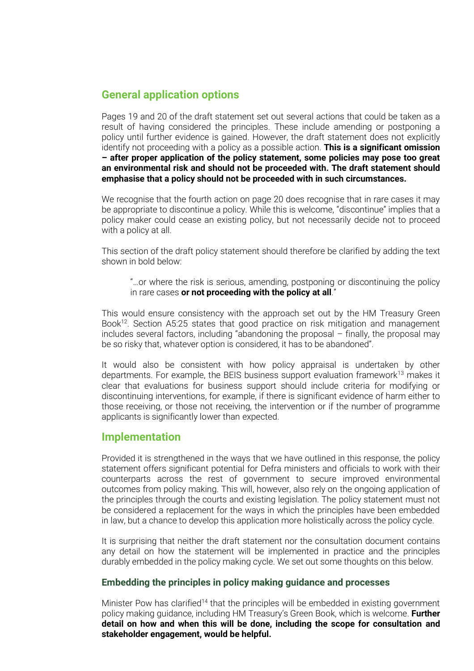## **General application options**

Pages 19 and 20 of the draft statement set out several actions that could be taken as a result of having considered the principles. These include amending or postponing a policy until further evidence is gained. However, the draft statement does not explicitly identify not proceeding with a policy as a possible action. **This is a significant omission – after proper application of the policy statement, some policies may pose too great an environmental risk and should not be proceeded with. The draft statement should emphasise that a policy should not be proceeded with in such circumstances.**

We recognise that the fourth action on page 20 does recognise that in rare cases it may be appropriate to discontinue a policy. While this is welcome, "discontinue" implies that a policy maker could cease an existing policy, but not necessarily decide not to proceed with a policy at all.

This section of the draft policy statement should therefore be clarified by adding the text shown in bold below:

"…or where the risk is serious, amending, postponing or discontinuing the policy in rare cases **or not proceeding with the policy at all**."

This would ensure consistency with the approach set out by the HM Treasury Green Book<sup>12</sup>. Section A5:25 states that good practice on risk mitigation and management includes several factors, including "abandoning the proposal – finally, the proposal may be so risky that, whatever option is considered, it has to be abandoned".

It would also be consistent with how policy appraisal is undertaken by other departments. For example, the BEIS business support evaluation framework $13$  makes it clear that evaluations for business support should include criteria for modifying or discontinuing interventions, for example, if there is significant evidence of harm either to those receiving, or those not receiving, the intervention or if the number of programme applicants is significantly lower than expected.

## **Implementation**

Provided it is strengthened in the ways that we have outlined in this response, the policy statement offers significant potential for Defra ministers and officials to work with their counterparts across the rest of government to secure improved environmental outcomes from policy making. This will, however, also rely on the ongoing application of the principles through the courts and existing legislation. The policy statement must not be considered a replacement for the ways in which the principles have been embedded in law, but a chance to develop this application more holistically across the policy cycle.

It is surprising that neither the draft statement nor the consultation document contains any detail on how the statement will be implemented in practice and the principles durably embedded in the policy making cycle. We set out some thoughts on this below.

#### **Embedding the principles in policy making guidance and processes**

Minister Pow has clarified<sup>14</sup> that the principles will be embedded in existing government policy making guidance, including HM Treasury's Green Book, which is welcome. **Further detail on how and when this will be done, including the scope for consultation and stakeholder engagement, would be helpful.**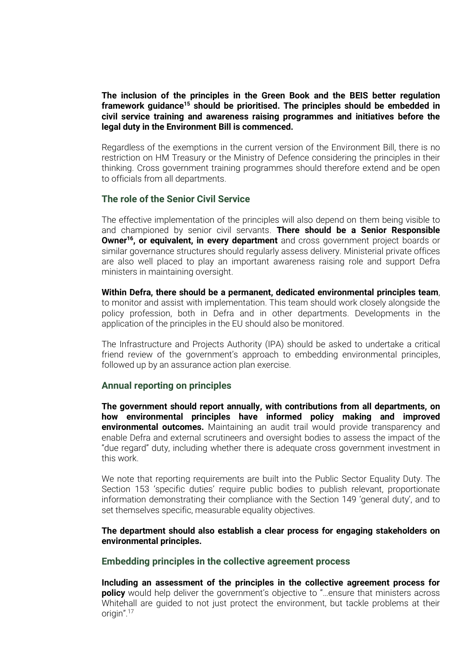#### **The inclusion of the principles in the Green Book and the BEIS better regulation framework guidance<sup>15</sup> should be prioritised. The principles should be embedded in civil service training and awareness raising programmes and initiatives before the legal duty in the Environment Bill is commenced.**

Regardless of the exemptions in the current version of the Environment Bill, there is no restriction on HM Treasury or the Ministry of Defence considering the principles in their thinking. Cross government training programmes should therefore extend and be open to officials from all departments.

#### **The role of the Senior Civil Service**

The effective implementation of the principles will also depend on them being visible to and championed by senior civil servants. **There should be a Senior Responsible Owner<sup>16</sup>, or equivalent, in every department** and cross government project boards or similar governance structures should regularly assess delivery. Ministerial private offices are also well placed to play an important awareness raising role and support Defra ministers in maintaining oversight.

**Within Defra, there should be a permanent, dedicated environmental principles team**, to monitor and assist with implementation. This team should work closely alongside the policy profession, both in Defra and in other departments. Developments in the application of the principles in the EU should also be monitored.

The Infrastructure and Projects Authority (IPA) should be asked to undertake a critical friend review of the government's approach to embedding environmental principles, followed up by an assurance action plan exercise.

#### **Annual reporting on principles**

**The government should report annually, with contributions from all departments, on how environmental principles have informed policy making and improved environmental outcomes.** Maintaining an audit trail would provide transparency and enable Defra and external scrutineers and oversight bodies to assess the impact of the "due regard" duty, including whether there is adequate cross government investment in this work.

We note that reporting requirements are built into the Public Sector Equality Duty. The Section 153 'specific duties' require public bodies to publish relevant, proportionate information demonstrating their compliance with the Section 149 'general duty', and to set themselves specific, measurable equality objectives.

#### **The department should also establish a clear process for engaging stakeholders on environmental principles.**

#### **Embedding principles in the collective agreement process**

**Including an assessment of the principles in the collective agreement process for policy** would help deliver the government's objective to "...ensure that ministers across Whitehall are guided to not just protect the environment, but tackle problems at their origin". $17$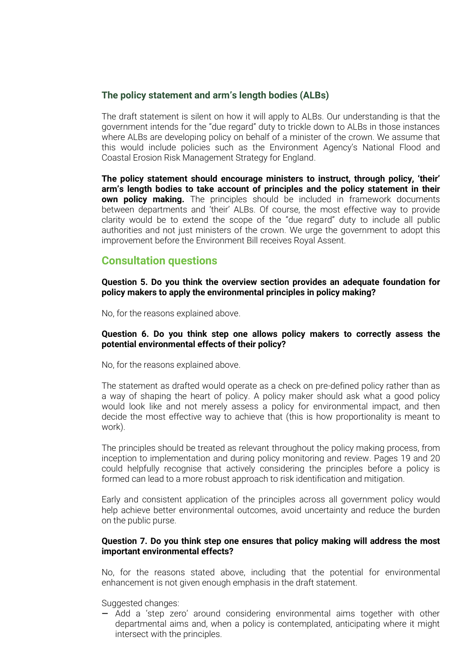#### **The policy statement and arm's length bodies (ALBs)**

The draft statement is silent on how it will apply to ALBs. Our understanding is that the government intends for the "due regard" duty to trickle down to ALBs in those instances where ALBs are developing policy on behalf of a minister of the crown. We assume that this would include policies such as the Environment Agency's National Flood and Coastal Erosion Risk Management Strategy for England.

**The policy statement should encourage ministers to instruct, through policy, 'their' arm's length bodies to take account of principles and the policy statement in their own policy making.** The principles should be included in framework documents between departments and 'their' ALBs. Of course, the most effective way to provide clarity would be to extend the scope of the "due regard" duty to include all public authorities and not just ministers of the crown. We urge the government to adopt this improvement before the Environment Bill receives Royal Assent.

## **Consultation questions**

**Question 5. Do you think the overview section provides an adequate foundation for policy makers to apply the environmental principles in policy making?**

No, for the reasons explained above.

#### **Question 6. Do you think step one allows policy makers to correctly assess the potential environmental effects of their policy?**

No, for the reasons explained above.

The statement as drafted would operate as a check on pre-defined policy rather than as a way of shaping the heart of policy. A policy maker should ask what a good policy would look like and not merely assess a policy for environmental impact, and then decide the most effective way to achieve that (this is how proportionality is meant to work).

The principles should be treated as relevant throughout the policy making process, from inception to implementation and during policy monitoring and review. Pages 19 and 20 could helpfully recognise that actively considering the principles before a policy is formed can lead to a more robust approach to risk identification and mitigation.

Early and consistent application of the principles across all government policy would help achieve better environmental outcomes, avoid uncertainty and reduce the burden on the public purse.

#### **Question 7. Do you think step one ensures that policy making will address the most important environmental effects?**

No, for the reasons stated above, including that the potential for environmental enhancement is not given enough emphasis in the draft statement.

Suggested changes:

— Add a 'step zero' around considering environmental aims together with other departmental aims and, when a policy is contemplated, anticipating where it might intersect with the principles.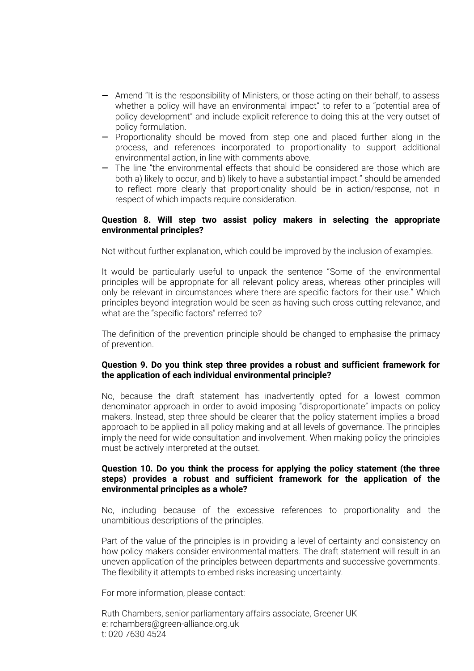- Amend "It is the responsibility of Ministers, or those acting on their behalf, to assess whether a policy will have an environmental impact" to refer to a "potential area of policy development" and include explicit reference to doing this at the very outset of policy formulation.
- Proportionality should be moved from step one and placed further along in the process, and references incorporated to proportionality to support additional environmental action, in line with comments above.
- The line "the environmental effects that should be considered are those which are both a) likely to occur, and b) likely to have a substantial impact." should be amended to reflect more clearly that proportionality should be in action/response, not in respect of which impacts require consideration.

#### **Question 8. Will step two assist policy makers in selecting the appropriate environmental principles?**

Not without further explanation, which could be improved by the inclusion of examples.

It would be particularly useful to unpack the sentence "Some of the environmental principles will be appropriate for all relevant policy areas, whereas other principles will only be relevant in circumstances where there are specific factors for their use." Which principles beyond integration would be seen as having such cross cutting relevance, and what are the "specific factors" referred to?

The definition of the prevention principle should be changed to emphasise the primacy of prevention.

#### **Question 9. Do you think step three provides a robust and sufficient framework for the application of each individual environmental principle?**

No, because the draft statement has inadvertently opted for a lowest common denominator approach in order to avoid imposing "disproportionate" impacts on policy makers. Instead, step three should be clearer that the policy statement implies a broad approach to be applied in all policy making and at all levels of governance. The principles imply the need for wide consultation and involvement. When making policy the principles must be actively interpreted at the outset.

#### **Question 10. Do you think the process for applying the policy statement (the three steps) provides a robust and sufficient framework for the application of the environmental principles as a whole?**

No, including because of the excessive references to proportionality and the unambitious descriptions of the principles.

Part of the value of the principles is in providing a level of certainty and consistency on how policy makers consider environmental matters. The draft statement will result in an uneven application of the principles between departments and successive governments. The flexibility it attempts to embed risks increasing uncertainty.

For more information, please contact:

Ruth Chambers, senior parliamentary affairs associate, Greener UK e: rchambers@green-alliance.org.uk t: 020 7630 4524